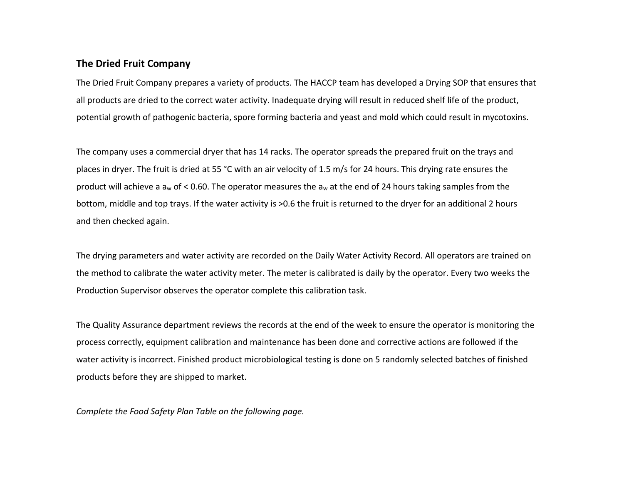## **The Dried Fruit Company**

The Dried Fruit Company prepares a variety of products. The HACCP team has developed a Drying SOP that ensures that all products are dried to the correct water activity. Inadequate drying will result in reduced shelf life of the product, potential growth of pathogenic bacteria, spore forming bacteria and yeast and mold which could result in mycotoxins.

The company uses a commercial dryer that has 14 racks. The operator spreads the prepared fruit on the trays and places in dryer. The fruit is dried at 55 °C with an air velocity of 1.5 m/s for 24 hours. This drying rate ensures the product will achieve a  $a_w$  of < 0.60. The operator measures the  $a_w$  at the end of 24 hours taking samples from the bottom, middle and top trays. If the water activity is >0.6 the fruit is returned to the dryer for an additional 2 hours and then checked again.

The drying parameters and water activity are recorded on the Daily Water Activity Record. All operators are trained on the method to calibrate the water activity meter. The meter is calibrated is daily by the operator. Every two weeks the Production Supervisor observes the operator complete this calibration task.

The Quality Assurance department reviews the records at the end of the week to ensure the operator is monitoring the process correctly, equipment calibration and maintenance has been done and corrective actions are followed if the water activity is incorrect. Finished product microbiological testing is done on 5 randomly selected batches of finished products before they are shipped to market.

*Complete the Food Safety Plan Table on the following page.*